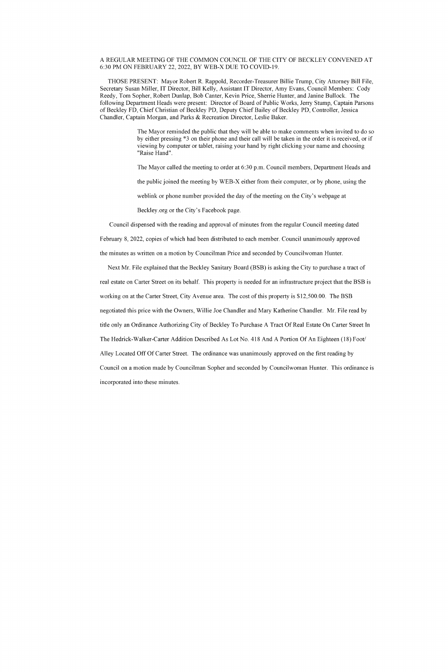## A REGULAR MEETING OF THE COMMON COUNCIL OF THE CITY OF BECKLEY CONVENED AT 6:30 PM ON FEBRUARY 22, 2022, BY WEB-X DUE TO COVID-19.

THOSE PRESENT: Mayor Robert R. Rappold, Recorder-Treasurer Billie Trump, City Attorney Bill File, Secretary Susan Miller, IT Director, Bill Kelly, Assistant IT Director, Amy Evans, Council Members: Cody Reedy, Tom Sopher, Robert Dunlap, Bob Canter, Kevin Price, Sherrie Hunter, and Janine Bullock. The following Department Heads were present: Director of Board of Public Works, Jerry Stump, Captain Parsons of Beckley FD, Chief Christian of Beckley PD, Deputy Chief Bailey of Beckley PD, Controller, Jessica Chandler, Captain Morgan, and Parks & Recreation Director, Leslie Baker.

> The Mayor reminded the public that they will be able to make comments when invited to do so by either pressing \*3 on their phone and their call will be taken in the order it is received, or if viewing by computer or tablet, raising your hand by right clicking your name and choosing "Raise Hand".

The Mayor called the meeting to order at 6:30 p.m. Council members, Department Heads and

the public joined the meeting by WEB-X either from their computer, or by phone, using the

weblink or phone number provided the day of the meeting on the City's webpage at

Beckley.org or the City's Facebook page.

Council dispensed with the reading and approval of minutes from the regular Council meeting dated

February 8, 2022, copies of which had been distributed to each member. Council unanimously approved

the minutes as written on a motion by Councilman Price and seconded by Councilwoman Hunter.

Next Mr. File explained that the Beckley Sanitary Board (BSB) is asking the City to purchase a tract of real estate on Carter Street on its behalf. This property is needed for an infrastructure project that the BSB is working on at the Carter Street, City Avenue area. The cost of this property is \$12,500.00. The BSB negotiated this price with the Owners, Willie Joe Chandler and Mary Katherine Chandler. Mr. File read by title only an Ordinance Authorizing City of Beckley To Purchase A Tract Of Real Estate On Carter Street In The Hedrick-Walker-Carter Addition Described As Lot No. 418 And A Portion Of An Eighteen (18) Foot/ Alley Located Off Of Carter Street. The ordinance was unanimously approved on the first reading by Council on a motion made by Councilman Sopher and seconded by Councilwoman Hunter. This ordinance is incorporated into these minutes.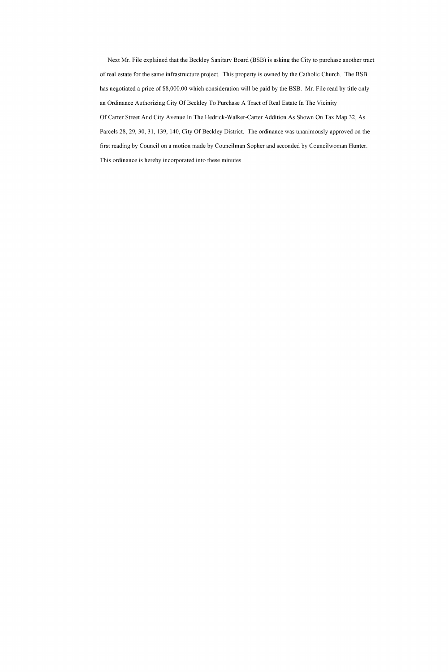Next Mr. File explained that the Beckley Sanitary Board (BSB) is asking the City to purchase another tract of real estate for the same infrastructure project. This property is owned by the Catholic Church. The BSB has negotiated a price of \$8,000.00 which consideration will be paid by the BSB. Mr. File read by title only an Ordinance Authorizing City Of Beckley To Purchase A Tract of Real Estate In The Vicinity Of Carter Street And City Avenue In The Hedrick-Walker-Carter Addition As Shown On Tax Map 32, As Parcels 28, 29, 30, 31, 139, 140, City Of Beckley District. The ordinance was unanimously approved on the first reading by Council on a motion made by Councilman Sopher and seconded by Councilwoman Hunter. This ordinance is hereby incorporated into these minutes.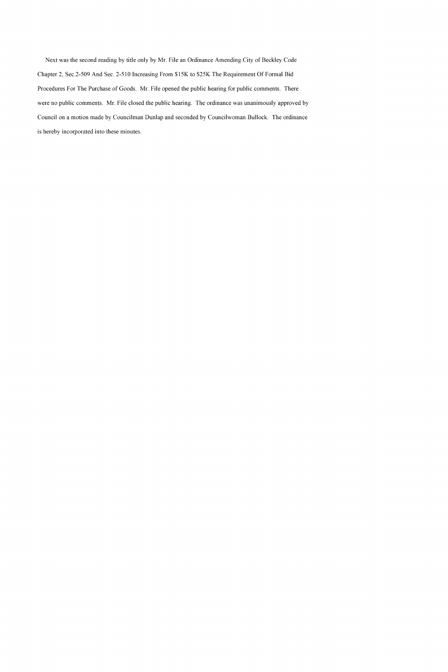Next was the second reading by title only by Mr. File an Ordinance Amending City of Beckley Code Chapter 2, Sec. 2-509 And Sec. 2-510 Increasing From \$15K to \$25K The Requirement Of Formal Bid Procedures For The Purchase of Goods. Mr. File opened the public hearing for public comments. There were no public comments. Mr. File closed the public hearing. The ordinance was unanimously approved by Council on a motion made by Councilman Dunlap and seconded by Councilwoman Bullock. The ordinance is hereby incorporated into these minutes.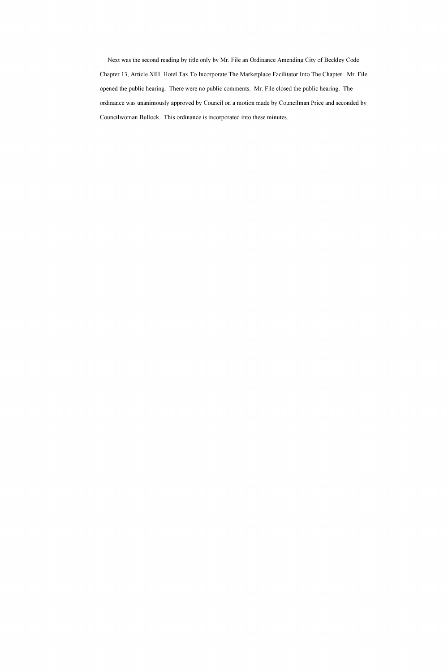Next was the second reading by title only by Mr. File an Ordinance Amending City of Beckley Code Chapter 13, Article XIII. Hotel Tax To Incorporate The Marketplace Facilitator Into The Chapter. Mr. File opened the public hearing. There were no public comments. Mr. File closed the public hearing. The ordinance was unanimously approved by Council on a motion made by Councilman Price and seconded by Councilwoman Bullock. This ordinance is incorporated into these minutes.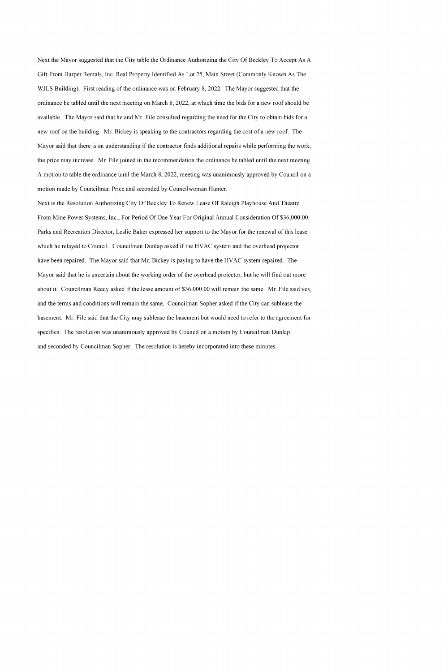Next the Mayor suggested that the City table the Ordinance Authorizing the City Of Beckley To Accept As A Gift From Harper Rentals, Inc. Real Property Identified As Lot 25, Main Street (Commonly Known As The WJLS Building). First reading of the ordinance was on February 8, 2022. The Mayor suggested that the ordinance be tabled until the next meeting on March 8, 2022, at which time the bids for a new roof should be available. The Mayor said that he and Mr. File consulted regarding the need for the City to obtain bids for a new roof on the building. Mr. Bickey is speaking to the contractors regarding the cost of a new roof. The Mayor said that there is an understanding if the contractor finds additional repairs while performing the work, the price may increase. Mr. File joined in the recommendation the ordinance be tabled until the next meeting. A motion to table the ordinance until the March 8, 2022, meeting was unanimously approved by Council on a motion made by Councilman Price and seconded by Councilwoman Hunter.

Next is the Resolution Authorizing City Of Beckley To Renew Lease Of Raleigh Playhouse And Theatre From Mine Power Systems, Inc., For Period Of One Year For Original Annual Consideration Of \$36,000.00. Parks and Recreation Director, Leslie Baker expressed her support to the Mayor for the renewal of this lease which he relayed to Council. Councilman Dunlap asked if the HVAC system and the overhead projector have been repaired. The Mayor said that Mr. Bickey is paying to have the HVAC system repaired. The Mayor said that he is uncertain about the working order of the overhead projector, but he will find out more about it. Councilman Reedy asked if the lease amount of \$36,000.00 will remain the same. Mr. File said yes, and the terms and conditions will remain the same. Councilman Sopher asked if the City can sublease the basement. Mr. File said that the City may sublease the basement but would need to refer to the agreement for specifics. The resolution was unanimously approved by Council on a motion by Councilman Dunlap and seconded by Councilman Sopher. The resolution is hereby incorporated into these minutes.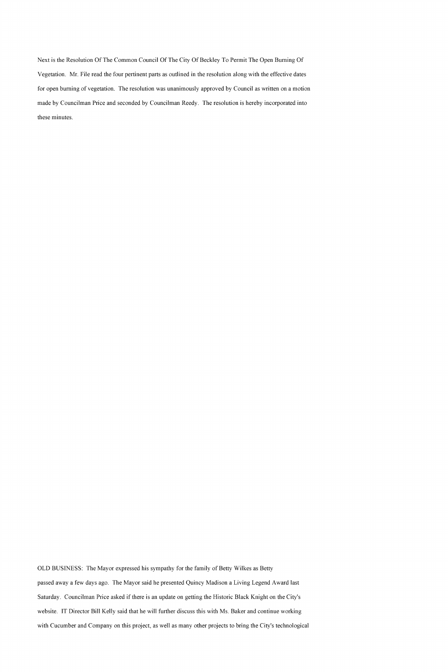Next is the Resolution Of The Common Council Of The City Of Beckley To Permit The Open Burning Of Vegetation. Mr. File read the four pertinent parts as outlined in the resolution along with the effective dates for open burning of vegetation. The resolution was unanimously approved by Council as written on a motion made by Councilman Price and seconded by Councilman Reedy. The resolution is hereby incorporated into these minutes.

OLD BUSINESS: The Mayor expressed his sympathy for the family of Betty Wilkes as Betty passed away a few days ago. The Mayor said he presented Quincy Madison a Living Legend Award last Saturday. Councilman Price asked if there is an update on getting the Historic Black Knight on the City's website. IT Director Bill Kelly said that he will further discuss this with Ms. Baker and continue working with Cucumber and Company on this project, as well as many other projects to bring the City's technological